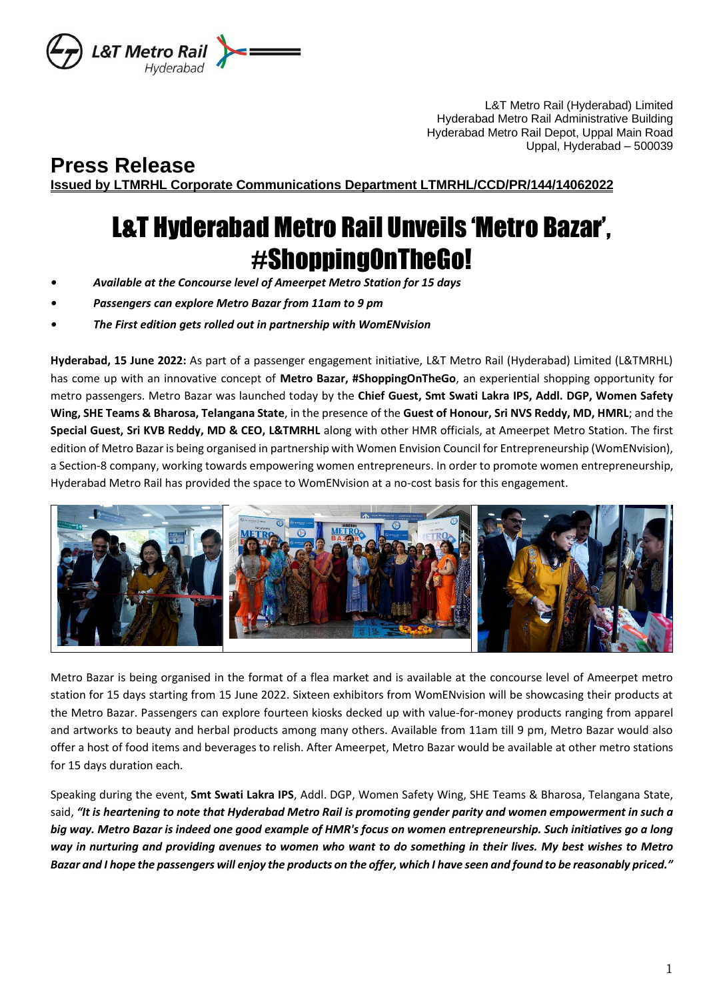

L&T Metro Rail (Hyderabad) Limited Hyderabad Metro Rail Administrative Building Hyderabad Metro Rail Depot, Uppal Main Road Uppal, Hyderabad – 500039

**Press Release Issued by LTMRHL Corporate Communications Department LTMRHL/CCD/PR/144/14062022**

## L&T Hyderabad Metro Rail Unveils 'Metro Bazar', #ShoppingOnTheGo!

- *• Available at the Concourse level of Ameerpet Metro Station for 15 days*
- *• Passengers can explore Metro Bazar from 11am to 9 pm*
- *• The First edition gets rolled out in partnership with WomENvision*

**Hyderabad, 15 June 2022:** As part of a passenger engagement initiative, L&T Metro Rail (Hyderabad) Limited (L&TMRHL) has come up with an innovative concept of **Metro Bazar, #ShoppingOnTheGo**, an experiential shopping opportunity for metro passengers. Metro Bazar was launched today by the **Chief Guest, Smt Swati Lakra IPS, Addl. DGP, Women Safety Wing, SHE Teams & Bharosa, Telangana State**, in the presence of the **Guest of Honour, Sri NVS Reddy, MD, HMRL**; and the **Special Guest, Sri KVB Reddy, MD & CEO, L&TMRHL** along with other HMR officials, at Ameerpet Metro Station. The first edition of Metro Bazar is being organised in partnership with Women Envision Council for Entrepreneurship (WomENvision), a Section-8 company, working towards empowering women entrepreneurs. In order to promote women entrepreneurship, Hyderabad Metro Rail has provided the space to WomENvision at a no-cost basis for this engagement.



Metro Bazar is being organised in the format of a flea market and is available at the concourse level of Ameerpet metro station for 15 days starting from 15 June 2022. Sixteen exhibitors from WomENvision will be showcasing their products at the Metro Bazar. Passengers can explore fourteen kiosks decked up with value-for-money products ranging from apparel and artworks to beauty and herbal products among many others. Available from 11am till 9 pm, Metro Bazar would also offer a host of food items and beverages to relish. After Ameerpet, Metro Bazar would be available at other metro stations for 15 days duration each.

Speaking during the event, **Smt Swati Lakra IPS**, Addl. DGP, Women Safety Wing, SHE Teams & Bharosa, Telangana State, said, *"It is heartening to note that Hyderabad Metro Rail is promoting gender parity and women empowerment in such a big way. Metro Bazar is indeed one good example of HMR's focus on women entrepreneurship. Such initiatives go a long way in nurturing and providing avenues to women who want to do something in their lives. My best wishes to Metro Bazar and I hope the passengers will enjoy the products on the offer, which I have seen and found to be reasonably priced."*